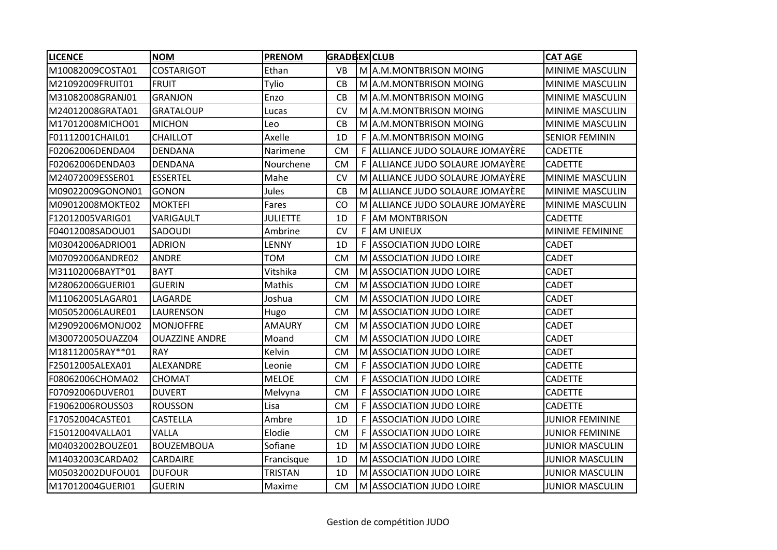| <b>LICENCE</b>   | <b>NOM</b>            | <b>PRENOM</b>   | <b>GRADBEX CLUB</b> |    |                                  | <b>CAT AGE</b>         |
|------------------|-----------------------|-----------------|---------------------|----|----------------------------------|------------------------|
| M10082009COSTA01 | <b>COSTARIGOT</b>     | Ethan           | <b>VB</b>           |    | M A.M. MONTBRISON MOING          | MINIME MASCULIN        |
| M21092009FRUIT01 | <b>FRUIT</b>          | Tylio           | CB                  |    | M A.M.MONTBRISON MOING           | MINIME MASCULIN        |
| M31082008GRANJ01 | <b>GRANJON</b>        | Enzo            | CB                  |    | M A.M.MONTBRISON MOING           | MINIME MASCULIN        |
| M24012008GRATA01 | <b>GRATALOUP</b>      | Lucas           | <b>CV</b>           |    | M A.M.MONTBRISON MOING           | MINIME MASCULIN        |
| M17012008MICHO01 | <b>MICHON</b>         | Leo             | <b>CB</b>           |    | M A.M.MONTBRISON MOING           | MINIME MASCULIN        |
| F01112001CHAIL01 | <b>CHAILLOT</b>       | Axelle          | 1D                  | F  | A.M.MONTBRISON MOING             | <b>SENIOR FEMININ</b>  |
| F02062006DENDA04 | <b>DENDANA</b>        | Narimene        | <b>CM</b>           |    | F ALLIANCE JUDO SOLAURE JOMAYÈRE | <b>CADETTE</b>         |
| F02062006DENDA03 | <b>DENDANA</b>        | Nourchene       | <b>CM</b>           |    | F ALLIANCE JUDO SOLAURE JOMAYÈRE | <b>CADETTE</b>         |
| M24072009ESSER01 | <b>ESSERTEL</b>       | Mahe            | <b>CV</b>           |    | M ALLIANCE JUDO SOLAURE JOMAYERE | <b>MINIME MASCULIN</b> |
| M09022009GONON01 | <b>GONON</b>          | Jules           | CB                  |    | M ALLIANCE JUDO SOLAURE JOMAYÈRE | MINIME MASCULIN        |
| M09012008MOKTE02 | <b>MOKTEFI</b>        | Fares           | CO                  |    | M ALLIANCE JUDO SOLAURE JOMAYÈRE | MINIME MASCULIN        |
| F12012005VARIG01 | VARIGAULT             | <b>JULIETTE</b> | 1D                  |    | F AM MONTBRISON                  | <b>CADETTE</b>         |
| F04012008SADOU01 | <b>SADOUDI</b>        | Ambrine         | <b>CV</b>           |    | F AM UNIEUX                      | MINIME FEMININE        |
| M03042006ADRIO01 | <b>ADRION</b>         | LENNY           | 1D                  | F  | <b>ASSOCIATION JUDO LOIRE</b>    | <b>CADET</b>           |
| M07092006ANDRE02 | <b>ANDRE</b>          | <b>TOM</b>      | <b>CM</b>           |    | M ASSOCIATION JUDO LOIRE         | <b>CADET</b>           |
| M31102006BAYT*01 | <b>BAYT</b>           | Vitshika        | <b>CM</b>           |    | M ASSOCIATION JUDO LOIRE         | <b>CADET</b>           |
| M28062006GUERI01 | <b>GUERIN</b>         | Mathis          | <b>CM</b>           |    | M ASSOCIATION JUDO LOIRE         | <b>CADET</b>           |
| M11062005LAGAR01 | LAGARDE               | Joshua          | <b>CM</b>           | м  | <b>ASSOCIATION JUDO LOIRE</b>    | <b>CADET</b>           |
| M05052006LAURE01 | LAURENSON             | Hugo            | <b>CM</b>           |    | M ASSOCIATION JUDO LOIRE         | <b>CADET</b>           |
| M29092006MONJO02 | <b>MONJOFFRE</b>      | <b>AMAURY</b>   | <b>CM</b>           |    | M ASSOCIATION JUDO LOIRE         | <b>CADET</b>           |
| M30072005OUAZZ04 | <b>OUAZZINE ANDRE</b> | Moand           | <b>CM</b>           |    | M ASSOCIATION JUDO LOIRE         | <b>CADET</b>           |
| M18112005RAY**01 | <b>RAY</b>            | Kelvin          | <b>CM</b>           | M  | <b>ASSOCIATION JUDO LOIRE</b>    | <b>CADET</b>           |
| F25012005ALEXA01 | <b>ALEXANDRE</b>      | Leonie          | <b>CM</b>           | F  | <b>ASSOCIATION JUDO LOIRE</b>    | <b>CADETTE</b>         |
| F08062006CHOMA02 | <b>CHOMAT</b>         | <b>MELOE</b>    | <b>CM</b>           | F. | <b>ASSOCIATION JUDO LOIRE</b>    | <b>CADETTE</b>         |
| F07092006DUVER01 | <b>DUVERT</b>         | Melvyna         | <b>CM</b>           | F  | <b>ASSOCIATION JUDO LOIRE</b>    | <b>CADETTE</b>         |
| F19062006ROUSS03 | <b>ROUSSON</b>        | Lisa            | <b>CM</b>           | F  | <b>ASSOCIATION JUDO LOIRE</b>    | <b>CADETTE</b>         |
| F17052004CASTE01 | <b>CASTELLA</b>       | Ambre           | 1D                  | F  | <b>ASSOCIATION JUDO LOIRE</b>    | <b>JUNIOR FEMININE</b> |
| F15012004VALLA01 | VALLA                 | Elodie          | <b>CM</b>           | F. | <b>ASSOCIATION JUDO LOIRE</b>    | <b>JUNIOR FEMININE</b> |
| M04032002BOUZE01 | <b>BOUZEMBOUA</b>     | Sofiane         | 1D                  |    | M ASSOCIATION JUDO LOIRE         | <b>JUNIOR MASCULIN</b> |
| M14032003CARDA02 | <b>CARDAIRE</b>       | Francisque      | 1D                  |    | M ASSOCIATION JUDO LOIRE         | <b>JUNIOR MASCULIN</b> |
| M05032002DUFOU01 | <b>DUFOUR</b>         | <b>TRISTAN</b>  | 1D                  |    | M ASSOCIATION JUDO LOIRE         | <b>JUNIOR MASCULIN</b> |
| M17012004GUERI01 | <b>GUERIN</b>         | Maxime          | <b>CM</b>           |    | M ASSOCIATION JUDO LOIRE         | <b>JUNIOR MASCULIN</b> |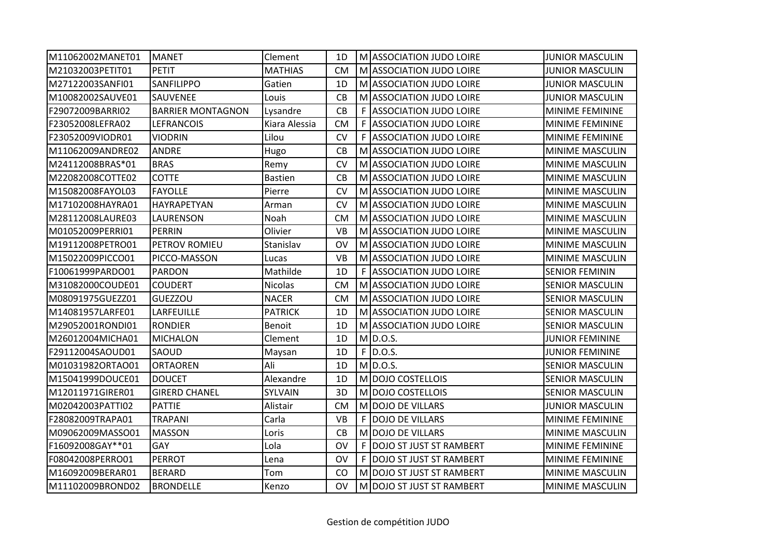| M11062002MANET01 | <b>MANET</b>             | Clement        | 1D        |    | M ASSOCIATION JUDO LOIRE       | <b>JUNIOR MASCULIN</b> |
|------------------|--------------------------|----------------|-----------|----|--------------------------------|------------------------|
| M21032003PETIT01 | <b>PETIT</b>             | <b>MATHIAS</b> | <b>CM</b> |    | M ASSOCIATION JUDO LOIRE       | <b>JUNIOR MASCULIN</b> |
| M27122003SANFI01 | SANFILIPPO               | Gatien         | 1D        |    | M ASSOCIATION JUDO LOIRE       | <b>JUNIOR MASCULIN</b> |
| M10082002SAUVE01 | SAUVENEE                 | Louis          | CB        |    | M ASSOCIATION JUDO LOIRE       | <b>JUNIOR MASCULIN</b> |
| F29072009BARRI02 | <b>BARRIER MONTAGNON</b> | Lysandre       | <b>CB</b> | F. | <b>ASSOCIATION JUDO LOIRE</b>  | MINIME FEMININE        |
| F23052008LEFRA02 | LEFRANCOIS               | Kiara Alessia  | <b>CM</b> | F. | <b>ASSOCIATION JUDO LOIRE</b>  | MINIME FEMININE        |
| F23052009VIODR01 | VIODRIN                  | Lilou          | <b>CV</b> | F. | <b>ASSOCIATION JUDO LOIRE</b>  | MINIME FEMININE        |
| M11062009ANDRE02 | <b>ANDRE</b>             | Hugo           | CB        |    | M ASSOCIATION JUDO LOIRE       | MINIME MASCULIN        |
| M24112008BRAS*01 | <b>BRAS</b>              | Remy           | <b>CV</b> |    | M ASSOCIATION JUDO LOIRE       | <b>MINIME MASCULIN</b> |
| M22082008COTTE02 | <b>COTTE</b>             | <b>Bastien</b> | CB        |    | M ASSOCIATION JUDO LOIRE       | MINIME MASCULIN        |
| M15082008FAYOL03 | <b>FAYOLLE</b>           | Pierre         | <b>CV</b> |    | M ASSOCIATION JUDO LOIRE       | MINIME MASCULIN        |
| M17102008HAYRA01 | HAYRAPETYAN              | Arman          | <b>CV</b> |    | M ASSOCIATION JUDO LOIRE       | MINIME MASCULIN        |
| M28112008LAURE03 | LAURENSON                | Noah           | <b>CM</b> |    | M ASSOCIATION JUDO LOIRE       | MINIME MASCULIN        |
| M01052009PERRI01 | <b>PERRIN</b>            | Olivier        | <b>VB</b> |    | M ASSOCIATION JUDO LOIRE       | MINIME MASCULIN        |
| M19112008PETRO01 | PETROV ROMIEU            | Stanislav      | <b>OV</b> |    | M ASSOCIATION JUDO LOIRE       | MINIME MASCULIN        |
| M15022009PICCO01 | PICCO-MASSON             | Lucas          | <b>VB</b> |    | M ASSOCIATION JUDO LOIRE       | MINIME MASCULIN        |
| F10061999PARDO01 | <b>PARDON</b>            | Mathilde       | 1D        | F  | <b>ASSOCIATION JUDO LOIRE</b>  | <b>SENIOR FEMININ</b>  |
| M31082000COUDE01 | <b>COUDERT</b>           | Nicolas        | <b>CM</b> |    | M ASSOCIATION JUDO LOIRE       | <b>SENIOR MASCULIN</b> |
| M08091975GUEZZ01 | <b>GUEZZOU</b>           | <b>NACER</b>   | <b>CM</b> |    | M ASSOCIATION JUDO LOIRE       | <b>SENIOR MASCULIN</b> |
| M14081957LARFE01 | LARFEUILLE               | <b>PATRICK</b> | 1D        |    | M ASSOCIATION JUDO LOIRE       | <b>SENIOR MASCULIN</b> |
| M29052001RONDI01 | <b>RONDIER</b>           | <b>Benoit</b>  | 1D        |    | M ASSOCIATION JUDO LOIRE       | <b>SENIOR MASCULIN</b> |
| M26012004MICHA01 | <b>MICHALON</b>          | Clement        | 1D        |    | $M$ D.O.S.                     | <b>JUNIOR FEMININE</b> |
| F29112004SAOUD01 | SAOUD                    | Maysan         | 1D        | F  | D.O.S.                         | <b>JUNIOR FEMININE</b> |
| M01031982ORTAO01 | <b>ORTAOREN</b>          | Ali            | 1D        |    | $M$ D.O.S.                     | <b>SENIOR MASCULIN</b> |
| M15041999DOUCE01 | <b>DOUCET</b>            | Alexandre      | 1D        |    | M DOJO COSTELLOIS              | <b>SENIOR MASCULIN</b> |
| M12011971GIRER01 | <b>GIRERD CHANEL</b>     | SYLVAIN        | 3D        |    | M DOJO COSTELLOIS              | <b>SENIOR MASCULIN</b> |
| M02042003PATTI02 | <b>PATTIE</b>            | Alistair       | <b>CM</b> | M  | DOJO DE VILLARS                | <b>JUNIOR MASCULIN</b> |
| F28082009TRAPA01 | TRAPANI                  | Carla          | <b>VB</b> | F  | <b>DOJO DE VILLARS</b>         | MINIME FEMININE        |
| M09062009MASSO01 | <b>MASSON</b>            | Loris          | CB        | M  | <b>DOJO DE VILLARS</b>         | MINIME MASCULIN        |
| F16092008GAY**01 | GAY                      | Lola           | <b>OV</b> | F  | <b>DOJO ST JUST ST RAMBERT</b> | MINIME FEMININE        |
| F08042008PERRO01 | <b>PERROT</b>            | Lena           | <b>OV</b> | F  | <b>DOJO ST JUST ST RAMBERT</b> | MINIME FEMININE        |
| M16092009BERAR01 | <b>BERARD</b>            | Tom            | CO        |    | M DOJO ST JUST ST RAMBERT      | <b>MINIME MASCULIN</b> |
| M11102009BROND02 | <b>BRONDELLE</b>         | Kenzo          | OV        |    | M DOJO ST JUST ST RAMBERT      | <b>MINIME MASCULIN</b> |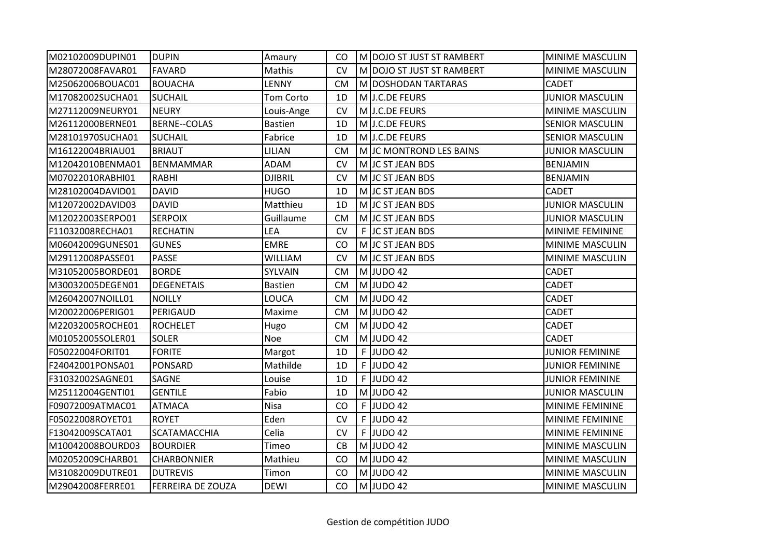| M02102009DUPIN01 | <b>DUPIN</b>        | Amaury         | CO        |    | M DOJO ST JUST ST RAMBERT | MINIME MASCULIN        |
|------------------|---------------------|----------------|-----------|----|---------------------------|------------------------|
| M28072008FAVAR01 | <b>FAVARD</b>       | Mathis         | <b>CV</b> |    | M DOJO ST JUST ST RAMBERT | MINIME MASCULIN        |
| M25062006BOUAC01 | <b>BOUACHA</b>      | LENNY          | <b>CM</b> |    | M DOSHODAN TARTARAS       | <b>CADET</b>           |
| M17082002SUCHA01 | <b>SUCHAIL</b>      | Tom Corto      | 1D        |    | M J.C.DE FEURS            | <b>JUNIOR MASCULIN</b> |
| M27112009NEURY01 | <b>NEURY</b>        | Louis-Ange     | <b>CV</b> |    | M J.C.DE FEURS            | MINIME MASCULIN        |
| M26112000BERNE01 | <b>BERNE--COLAS</b> | <b>Bastien</b> | 1D        |    | M J.C.DE FEURS            | <b>SENIOR MASCULIN</b> |
| M28101970SUCHA01 | <b>SUCHAIL</b>      | Fabrice        | 1D        |    | M J.C.DE FEURS            | <b>SENIOR MASCULIN</b> |
| M16122004BRIAU01 | <b>BRIAUT</b>       | LILIAN         | <b>CM</b> |    | M JC MONTROND LES BAINS   | <b>JUNIOR MASCULIN</b> |
| M12042010BENMA01 | <b>BENMAMMAR</b>    | <b>ADAM</b>    | <b>CV</b> |    | M JC ST JEAN BDS          | <b>BENJAMIN</b>        |
| M07022010RABHI01 | <b>RABHI</b>        | <b>DJIBRIL</b> | <b>CV</b> |    | M JC ST JEAN BDS          | <b>BENJAMIN</b>        |
| M28102004DAVID01 | <b>DAVID</b>        | <b>HUGO</b>    | 1D        |    | M JC ST JEAN BDS          | <b>CADET</b>           |
| M12072002DAVID03 | <b>DAVID</b>        | Matthieu       | 1D        |    | M JC ST JEAN BDS          | <b>JUNIOR MASCULIN</b> |
| M12022003SERPO01 | <b>SERPOIX</b>      | Guillaume      | <b>CM</b> |    | M JC ST JEAN BDS          | <b>JUNIOR MASCULIN</b> |
| F11032008RECHA01 | <b>RECHATIN</b>     | LEA            | <b>CV</b> |    | F JC ST JEAN BDS          | MINIME FEMININE        |
| M06042009GUNES01 | <b>GUNES</b>        | <b>EMRE</b>    | CO        |    | M JC ST JEAN BDS          | MINIME MASCULIN        |
| M29112008PASSE01 | <b>PASSE</b>        | <b>WILLIAM</b> | <b>CV</b> |    | M JC ST JEAN BDS          | MINIME MASCULIN        |
| M31052005BORDE01 | <b>BORDE</b>        | SYLVAIN        | <b>CM</b> |    | M JUDO 42                 | <b>CADET</b>           |
| M30032005DEGEN01 | <b>DEGENETAIS</b>   | <b>Bastien</b> | <b>CM</b> |    | M JUDO 42                 | <b>CADET</b>           |
| M26042007NOILL01 | <b>NOILLY</b>       | LOUCA          | <b>CM</b> |    | M JUDO 42                 | <b>CADET</b>           |
| M20022006PERIG01 | PERIGAUD            | Maxime         | <b>CM</b> |    | M JUDO 42                 | <b>CADET</b>           |
| M22032005ROCHE01 | <b>ROCHELET</b>     | Hugo           | <b>CM</b> |    | M JUDO 42                 | <b>CADET</b>           |
| M01052005SOLER01 | <b>SOLER</b>        | Noe            | <b>CM</b> |    | M JUDO 42                 | <b>CADET</b>           |
| F05022004FORIT01 | <b>FORITE</b>       | Margot         | 1D        | F  | JUDO 42                   | <b>JUNIOR FEMININE</b> |
| F24042001PONSA01 | <b>PONSARD</b>      | Mathilde       | 1D        | F  | JUDO 42                   | <b>JUNIOR FEMININE</b> |
| F31032002SAGNE01 | <b>SAGNE</b>        | Louise         | 1D        |    | $F$ UDO 42                | <b>JUNIOR FEMININE</b> |
| M25112004GENTI01 | <b>GENTILE</b>      | Fabio          | 1D        |    | $M$ JUDO 42               | <b>JUNIOR MASCULIN</b> |
| F09072009ATMAC01 | <b>ATMACA</b>       | <b>Nisa</b>    | CO        | F. | JUDO 42                   | MINIME FEMININE        |
| F05022008ROYET01 | <b>ROYET</b>        | Eden           | <b>CV</b> | F. | JUDO 42                   | MINIME FEMININE        |
| F13042009SCATA01 | <b>SCATAMACCHIA</b> | Celia          | CV        | F. | JUDO 42                   | MINIME FEMININE        |
| M10042008BOURD03 | <b>BOURDIER</b>     | Timeo          | CB        |    | $M$ JUDO 42               | MINIME MASCULIN        |
| M02052009CHARB01 | CHARBONNIER         | Mathieu        | CO        |    | M JUDO 42                 | MINIME MASCULIN        |
| M31082009DUTRE01 | <b>DUTREVIS</b>     | Timon          | CO        |    | M JUDO 42                 | MINIME MASCULIN        |
| M29042008FERRE01 | FERREIRA DE ZOUZA   | <b>DEWI</b>    | CO        |    | $M$ JUDO 42               | <b>MINIME MASCULIN</b> |